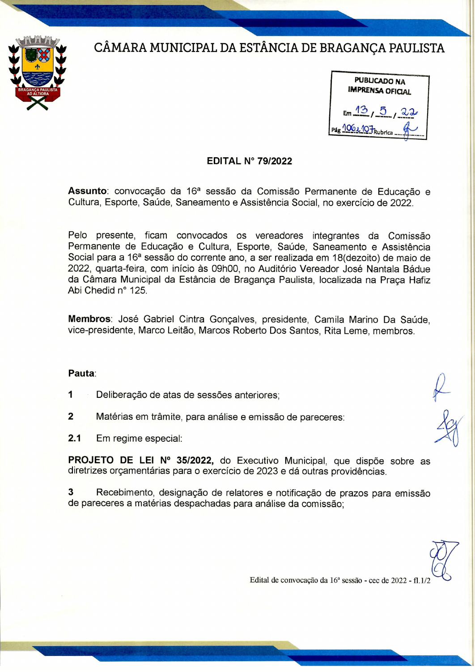## CÂMARA MUNICIPAL DA ESTÂNCIA DE BRAGANÇA PAULISTA





## **EDITAL N° 79/2022**

Assunto: convocação da 16ª sessão da Comissão Permanente de Educação e Cultura, Esporte, Saúde, Saneamento e Assistência Social, no exercício de 2022.

Pelo presente, ficam convocados os vereadores integrantes da Comissão Permanente de Educação e Cultura, Esporte, Saúde, Saneamento e Assistência Social para a 16ª sessão do corrente ano, a ser realizada em 18(dezoito) de maio de 2022, quarta-feira, com início às 09h00, no Auditório Vereador José Nantala Bádue da Câmara Municipal da Estância de Braganca Paulista, localizada na Praca Hafiz Abi Chedid nº 125.

Membros: José Gabriel Cintra Gonçalves, presidente, Camila Marino Da Saúde. vice-presidente, Marco Leitão, Marcos Roberto Dos Santos, Rita Leme, membros,

## Pauta:

- $\mathbf{1}$ Deliberação de atas de sessões anteriores;
- $\overline{2}$ Matérias em trâmite, para análise e emissão de pareceres:

 $2.1$ Em regime especial:

PROJETO DE LEI Nº 35/2022, do Executivo Municipal, que dispõe sobre as diretrizes orçamentárias para o exercício de 2023 e dá outras providências.

 $\overline{3}$ Recebimento, designação de relatores e notificação de prazos para emissão de pareceres a matérias despachadas para análise da comissão:

Edital de convocação da 16ª sessão - cec de 2022 - fl.1/.